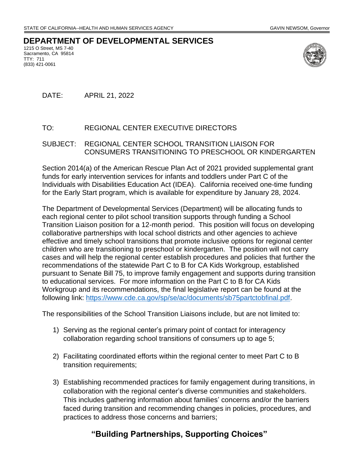## **DEPARTMENT OF DEVELOPMENTAL SERVICES**

1215 O Street, MS 7-40 Sacramento, CA 95814 TTY: 711 (833) 421-0061



DATE: APRIL 21, 2022

## TO: REGIONAL CENTER EXECUTIVE DIRECTORS

## SUBJECT: REGIONAL CENTER SCHOOL TRANSITION LIAISON FOR CONSUMERS TRANSITIONING TO PRESCHOOL OR KINDERGARTEN

Section 2014(a) of the American Rescue Plan Act of 2021 provided supplemental grant funds for early intervention services for infants and toddlers under Part C of the Individuals with Disabilities Education Act (IDEA). California received one-time funding for the Early Start program, which is available for expenditure by January 28, 2024.

The Department of Developmental Services (Department) will be allocating funds to each regional center to pilot school transition supports through funding a School Transition Liaison position for a 12-month period. This position will focus on developing collaborative partnerships with local school districts and other agencies to achieve effective and timely school transitions that promote inclusive options for regional center children who are transitioning to preschool or kindergarten. The position will not carry cases and will help the regional center establish procedures and policies that further the recommendations of the statewide Part C to B for CA Kids Workgroup, established pursuant to Senate Bill 75, to improve family engagement and supports during transition to educational services. For more information on the Part C to B for CA Kids Workgroup and its recommendations, the final legislative report can be found at the following link: [https://www.cde.ca.gov/sp/se/ac/documents/sb75partctobfinal.pdf.](https://www.cde.ca.gov/sp/se/ac/documents/sb75partctobfinal.pdf)

The responsibilities of the School Transition Liaisons include, but are not limited to:

- 1) Serving as the regional center's primary point of contact for interagency collaboration regarding school transitions of consumers up to age 5;
- 2) Facilitating coordinated efforts within the regional center to meet Part C to B transition requirements;
- 3) Establishing recommended practices for family engagement during transitions, in collaboration with the regional center's diverse communities and stakeholders. This includes gathering information about families' concerns and/or the barriers faced during transition and recommending changes in policies, procedures, and practices to address those concerns and barriers;

## **"Building Partnerships, Supporting Choices"**